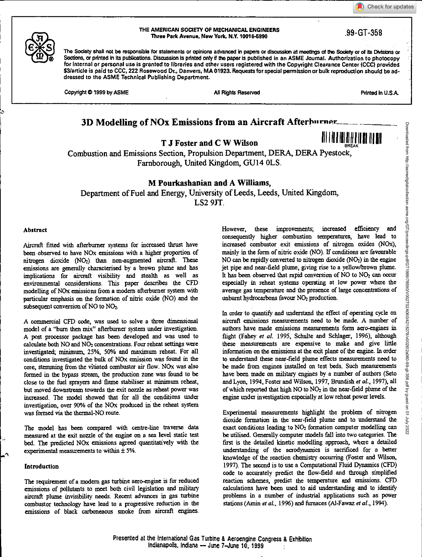Check for updates





#### THE AMERICAN SOOETY OF MECHANICAL ENGINEERS Three Park Avenue, New York, N.Y. 10016-5990 .99-GT-358

The Society shall not be responsible for statements or opinions advanced in papers or discussion at meetings of the Society or of its Divisions or Sections, or printed in its publications. Discussion Is printed only if the paper is published in an ASME Journal. Authorization to photocopy for internal or personal use is granted to libraries and other users registered with the Copyright Clearance Center (CCC) provided \$3/article is paid to CCC, 222 Rosewood Dr., Danvers, MA 01923. Requests for special permission or bulk reproduction should be addressed to the ASME Technical Publishing Department.

Copyright © 1999 by ASME All Rights Reserved All Rights Reserved Printed in U.S.A.

# **3D Modelling of NOx Emissions from an Aircraft Afterburner...**

**T J** Foster and C W Wilson **III 111 III III III III** 

BREAK Combustion and Emissions Section, Propulsion Department, DERA, DERA Pyestock, Farnborough, United Kingdom, GU14 0LS.

**M Pourkashanian and A Williams,** 

Department of Fuel and Energy, University of Leeds, Leeds, United Kingdom, LS2 9JT.

# Abstract

Aircraft fitted with afterburner systems for increased thrust have been observed to have NOx emissions with a higher proportion of nitrogen dioxide (NO2) than non-augmented aircraft. These emissions are generally characterised by a brown plume and has implications for aircraft visibility and stealth as well as environmental considerations. This paper describes the CFD modelling of NOx emissions from a modem afterburner system with particular emphasis on the formation of nitric oxide (NO) and the subsequent conversion of NO to NO<sub>2</sub>.

A commercial CFD code, was used to solve a three dimensional model of a "burn then mix" afterburner system under investigation. A post procecsor package has been developed and was used to calculate both NO and NO<sub>2</sub> concentrations. Four reheat settings were investigated; minimum, 25%, 50% and maximum reheat. For all conditions investigated the bulk of NOx emission was found in the core, stemming from the vitiated combustor air flow. NOx was also formed in the bypass stream, the production zone was found to be close to the fuel sprayers and flame stabiliser at minimum reheat, but moved downstream towards the exit nozzle as reheat power was increased. The model showed that for all the conditions under investigation, over 90% of the NOx produced in the reheat system was formed via the thermal-NO route.

The model has been compared with centre-line traverse data measured at the exit nozzle of the engine on a sea level static test bed. The predicted NOx emissions agreed quantitatively with the experimental measurements to within ± 5%.

# **Introduction**

The requirement of a modern gas turbine aero-engine is for reduced emissions of pollutants to meet both civil legislation and military aircraft plume invisibility needs. Recent advances in gas turbine combustor technology have lead to a progressive reduction in the emissions of black carboneaous smoke from aircraft engines.

However, these improvements; increased efficiency and consequently higher combustion temperatures, have lead to increased combustor exit emissions of nitrogen oxides (N0x), mainly in the form of nitric oxide (NO). If conditions are favourable NO can be rapidly converted to nitrogen dioxide  $(NO<sub>2</sub>)$  in the engine jet pipe and near-field plume, giving rise to a yellow/brown plume. It has been observed that rapid conversion of NO to NO<sub>2</sub> can occur especially in reheat systems operating at low power where the average gas temperature and the presence of large concentrations of unburnt hydrocarbons favour NO<sub>2</sub> production.

In order to quantify and understand the effect of operating cycle on aircraft emissions measurements need to be made. A number of authors have made emissions measurements form aero-engines in flight (Fahey *et aL* 1995, Schulte and Schlager, 1996), although these measurements are expensive to make and give little information on the emissions at the exit plane of the engine. In order to understand these near-field plume effects measurements need to be made from engines installed on test beds. Such measurements have been made on military engines by a number of authors (Seto and Lyon, 1994, Foster and Wilson, 1997, Brundish et al., 1997), all of which reported that high NO to NO2 in the near-field plume of the engine under investigation especially at low reheat power levels.

Experimental measurements highlight the problem of nitrogen dioxide formation in the near-field plume and to understand the exact conditions leading to NO<sub>2</sub> formation computer modelling can be utilised. Generally computer models fall into two categories. The first is the detailed kinetic modelling approach, where a detailed understanding of the aerodynamics is sacrificed for a better knowledge of the reaction chemistry occurring (Foster and Wilson, 1997). The second is to use a Computational Fluid Dynamics (CF)) code to accurately predict the flow-field and through simplified reaction schemes, predict the temperature and emissions. CFD calculations have been used to aid understanding and to identify problems in a number of industrial applications such as power stations (Amin *et aL,* 1996) and furnaces (Al-Fawaz *et al.,* 1994).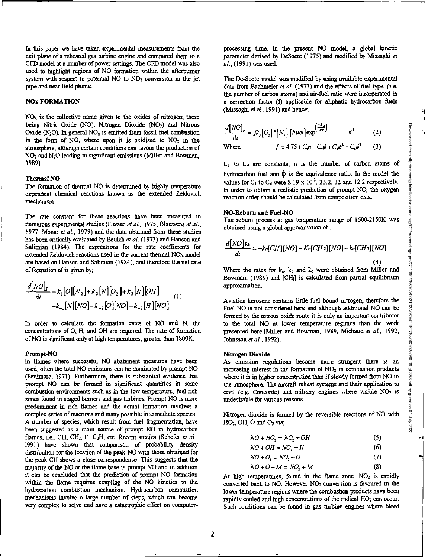r.,

In this paper we have taken experimental measurements from the exit plane of a reheated gas turbine engine and compared them to a CFD model at a number of power settings. The CFD model was also used to highlight regions of NO formation within the afterburner system with respect to potential  $NO$  to  $NO<sub>2</sub>$  conversion in the jet pipe and near-field plume.

# **NO: FORMATION**

 $NO<sub>x</sub>$  is the collective name given to the oxides of nitrogen; these being Nitric Oxide (NO), Nitrogen Dioxide (NO<sub>2</sub>) and Nitrous Oxide  $(N_2O)$ . In general  $NO<sub>x</sub>$  is emitted from fossil fuel combustion in the form of NO, where upon it is oxidised to  $NO<sub>2</sub>$  in the atmosphere, although certain conditions can favour the production of NO2and N20 leading to significant emissions (Miller and Bowman, 1989).

# **Thermal NO**

The formation of thermal NO is determined by highly temperature dependent chemical reactions known as the extended Zeldovich mechanism.

The rate constant for these reactions have been measured in numerous experimental studies (Flower *et at,* 1975, Blauwens *et at,*  1977, Monat *et at,* 1979) and the data obtained from these studies has been critically evaluated by Baulch *et at* (1973) and Hanson and Salimian (1984). The expressions for the rate coefficients for extended Zeldovich reactions used in the current thermal NOx model are based on Hanson and Salimian (1984), and therefore the net rate of formation of is given by;

$$
\frac{d[NO]_T}{dt} = k_1[O][N_2] + k_2[N][O_2] + k_3[N][OH]
$$
  

$$
-k_{-1}[N][NO] - k_{-2}[O][NO] - k_{-3}[H][NO]
$$
 (1)

In order to calculate the formation rates of NO and N, the concentrations of 0, H, and OH are required. The rate of formation of NO is significant only at high temperatures, greater than 1800K.

#### **Prompt-NO**

In flames where successful NO abatement measures have been used, often the total NO emissions can be dominated by prompt NO (Fenimore, 1971). Furthermore, there is substantial evidence that prompt NO can be formed in significant quantities in some combustion environments such as in the low-temperature, fuel-rich zones found in staged burners and gas turbines. Prompt NO is more predominant in rich flames and the actual formation involves a complex series of reactions and many possible intermediate species. A number of species, which result from fuel fragmentation, have been suggested as a main source of prompt NO in hydrocarbon flames, i.e., CH, CH<sub>2</sub>, C, C<sub>2</sub>H, etc. Recent studies (Schefer *et al.*, 1991) have shown that comparison of probability density distribution for the location of the peak NO with those obtained for the peak CH shows a close correspondence. This suggests that the majority of the NO at the flame base is prompt NO and in addition it can be concluded that the prediction of prompt NO formation within the flame requires coupling of the NO kinetics to the hydrocarbon combustion mechanism. Hydrocarbon combustion mechanisms involve a large number of steps, which can become very complex to solve and have a catastrophic effect on computerprocessing time. In the present NO model, a global kinetic parameter derived by DeSoete (1975) and modified by Misesghi *at at,* (1991) was used.

The De-Soete model was modified by using available experimental data from Bachmeier *et al.* (1973) and the effects of fuel type, (i.e. the number of carbon atoms) and air-fuel ratio were incorporated in a correction factor (t) applicable for aliphatic hydrocarbon fuels (Missaghi et al, 1991) and hence;

$$
\frac{d[NO]}{dt} = fk_p[O_2] \cdot [N_2] [Fuel] \exp^{\left(\frac{-B_A}{AI}\right)} \qquad s^{-1} \qquad (2)
$$

Where 
$$
f = 4.75 + C_1 n - C_2 \phi + C_3 \phi^2 - C_4 \phi^3
$$
 (3)

**CI to C4** are constants, n is the number of carbon atoms of hydrocarbon fuel and  $\phi$  is the equivalence ratio. In the model the values for C<sub>1</sub> to C<sub>4</sub> were 8.19 x 10<sup>-2</sup>, 23.2, 32 and 12.2 respectively. In order to obtain a realistic prediction of prompt NO, the oxygen reaction order should be calculated from composition data.

## **NO-Reburn and Fuel-NO**

The rebum process at gas temperature range of 1600-2150K was obtained using a global approximation of :

$$
\frac{d[NO]_{\text{Re}}}{dt} = -k\sigma[CH][NO] - K\sigma[CH_2][NO] - k\sigma[CH_3][NO]
$$
\n(4)

Where the rates for  $k_a$ .  $k_b$  and  $k_c$  were obtained from Miller and Bowman, (1989) and [CIL] is calculated from partial equilibrium approximation.

Aviation kerosene contains little fuel bound nitrogen, therefore the Fuel-NO is not considered here and although additional NO can be formed by the nitrous oxide route it is only an important contributor to the total NO at lower temperature regimes than the work presented here.(Miller and Bowman, 1989, Michaud *et aL,* 1992, Johnsson *et aL,* 1992).

#### **Nitrogen Dioxide**

As emission regulations become more stringent there is an increasing interest in the formation of  $NO<sub>2</sub>$  in combustion products where it is in higher concentration than if slowly formed from NO in the atmosphere. The aircraft reheat systems and their application to civil *(e.g.* Concorde) *and military engines* where visible NO2 is undesirable for various reasons

Nitrogen dioxide is formed by the reversible reactions of NO with  $HO<sub>2</sub>$ , OH, O and  $O<sub>2</sub>$  via;

$$
NO + HO2 = NO2 + OH
$$
 (5)

$$
NO + OH = NO2 + H \tag{6}
$$

$$
NO + O_2 = NO_2 + O \tag{7}
$$

$$
NO + O + M = NO2 + M
$$
 (8)

At high temperatures, found in the flame zone,  $NO<sub>2</sub>$  is rapidly converted back to NO. However NO<sub>2</sub> conversion is favoured in the lower temperature regions where the combustion products have been rapidly cooled and high concentrations of the radical HO<sub>2</sub> can occur. Such conditions can be found in gas turbine engines where bleed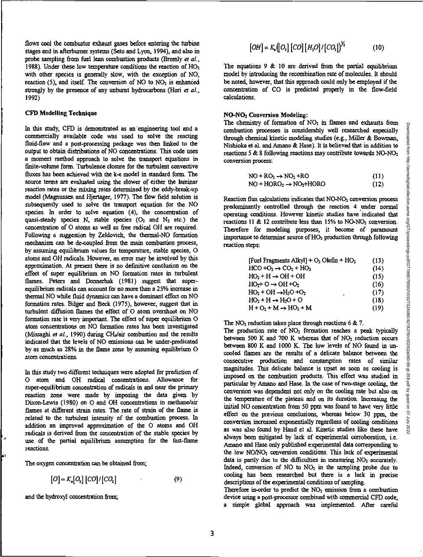flows cool the ccrmbustor exhaust gases before entering the turbine stages and in afterburner systems (Seto and Lyon, 1994), and also in probe sampling from fuel lean combustion products (Bromly *et aL,*  1988). Under these low temperature conditions the reaction of HO<sub>2</sub> with other species is generally slow, with the exception of NO, reaction  $(5)$ , and itself. The conversion of NO to NO<sub>2</sub> is enhanced strongly by the presence of any unbumt hydrocarbons (Hori *et aL,*  1992)

# **CFD Modelling Technique**

In this study, CFD is demonstrated as an 'engineering tool and a commercially available code was used to solve the reacting fluid-flow and a post-processing package was then linked to the output to obtain distributions of NO concentrations. This code uses a moment method approach to solve the transport equations in finite-volume form. Turbulence closure for the turbulent convective fluxes has been achieved with the k-c model in standard form. The source terms are evaluated using the slower of either the laminar reaction rates or the mixing rates determined by the eddy-break-up model (Magnussen and Hjertager, 1977). The flow field solution is subsequently used to solve the transport equation for the NO species. In order to solve equation (4), the concentration of quasi-steady species N, stable species  $(O_2 \text{ and } N_2 \text{ etc.})$  the concentration of 0 atoms as well as free radical OH are required. Following a suggestion by Zeldovich, the thermal-NO formation mechanism can be de-coupled from the main combustion process, by assuming equilibrium values for temperature, stable species, 0 atoms and OH radicals. However, an error may be involved by this approximation. At present there is no definitive conclusion on the effect of super equilibrium on NO formation rates in turbulent flames. Peters and Donnerhak (1981) suggest that superequilibrium radicals can account for no more than a 25% increase in thermal NO while fluid dynamics can have a dominant effect on NO fommtion rates. Bilger and Beck (1975), however, suggest that in turbulent diffusion flames the effect of O atom overshoot on NO formation rate is very important. The effect of super equilibrium 0 atom concentrations on NO formation rates has been investigated (Missaghi et al., 1990) during CH<sub>4</sub>/air combustion and the results indicated that the levels of NO emissions can be under-predicated by as much as 28% in the flame zone by assuming equilibrium **0**  atom concentrations.

In this study two different techniques were adopted for prediction of 0 atom and OH radical concentrations. Allowance for super-equilibrium concentration of radicals in and near the primary reaction zone were made by imposing the data given by Dixon-Lewis (1980) on 0 and OH concentrations in methane/air flames at different strain rates. The rate of strain of the flame is related to the turbulent intensity of the combustion process. In addition an improved approximation of the 0 atoms and OH radicals is derived from the concentration of the stable species by use of the partial equilibrium assumption for the fast-flame reactions.

The oxygen concentration can be obtained from;

$$
[O] = K_a [O_2] [CO]/[CO_2]
$$
 (9)

and the hydroxyl concentration from;

$$
[OH] = K_s([O_s] [CO] [H_2O]/[CO_s])^{1/2}
$$
 (10)

The equations  $9 \& 10$  are derived from the partial equilibrium model by introducing the recombination rate of molecules. It should be noted, however, that this approach could only be employed if the concentration of CO is predicted properly in the flow-field calculations.

## NO-NO2 **Conversion Modeling:**

The chemistry of formation of NO2 *in flames* and exhausts from combustion processes is considerably well researched especially through chemical kinetic modeling studies (e.g., Miller & Bowman, Nishioka et al. and Amano & Hase). It is believed that in addition to reactions 5 & 8 following reactions may contribute towards NO-NO<sub>2</sub> conversion process:

$$
NO + RO2 \rightarrow NO2 + RO
$$
 (11)

$$
NO + HORO2 \rightarrow NO2+HORO
$$
 (12)

Reaction flux calculations indicates that NO-NO<sub>2</sub> conversion process predominantly controlled through the reaction 4 under normal operating conditions. However kinetic *studies* have indicated that reactions 11 & 12 contribute less than 15% to NO-NO<sub>2</sub> conversion. Therefore for modeling purposes, it become of paramount importance to determine source of H02 production through following reaction steps:

| [Fuel Fragments Alkyl] + $O_2$ Olefin + $HO_2$ | (13) |
|------------------------------------------------|------|
| $HCO + O2 \rightarrow CO2 + HO2$               | (14) |
| $HO_2 + H \rightarrow OH + OH$                 | (15) |
| $HO_{2}$ + O $\rightarrow$ OH +O <sub>2</sub>  | (16) |
| $HO_2 + OH \rightarrow H_2O + O_2$<br>٠        | (17) |
| $HO2 + H \rightarrow H2O + O$                  | (18) |
| $H + O2 + M \rightarrow HO2 + M$               | (19) |

The  $NO<sub>2</sub>$  reduction takes place through reactions 6 & 7.

The production rate of  $NO<sub>2</sub>$  formation reaches a peak typically between 500 K and 700 K whereas that of  $NO<sub>2</sub>$  reduction occurs between 800 K and 1000 K. The low levels of NO found in uncooled flames are the results of a delicate balance between the consecutive production and consumption rates of similar magnitudes. This delicate balance is upset as soon as cooling is imposed on the combustion products. This effect was studied in particular by Amano and Hese. In the case of two-stage cooling, the conversion was dependent not only on the cooling rate but also on the temperature of the plateau and on its duration. Increasing the initial NO concentration from 50 ppm was found to have *very* little effect on the previous conclusions, whereas below 30 ppm, the conversion increased exponentially regardless of cooling conditions as was also found by Hand et al. Kinetic studies like these have always been mitigated by lack of experimental corroboration, i.e. Amano and Hese only published experimental data corresponding to the low NO/NO<sub>2</sub> conversion conditions. This lack of experimental data is partly due to the difficulties in measuring  $NO<sub>2</sub>$  accurately. Indeed, conversion of NO to NO<sub>2</sub> in the sampling probe due to cooling *has* been researched but there is a lack in precise descriptions of the experimental conditions of sampling.

Therefore in-order to predict the  $NO<sub>2</sub>$  emission from a combustion device using a post-processor combined with commercial CFD code, a simple global approach was implemented. After careful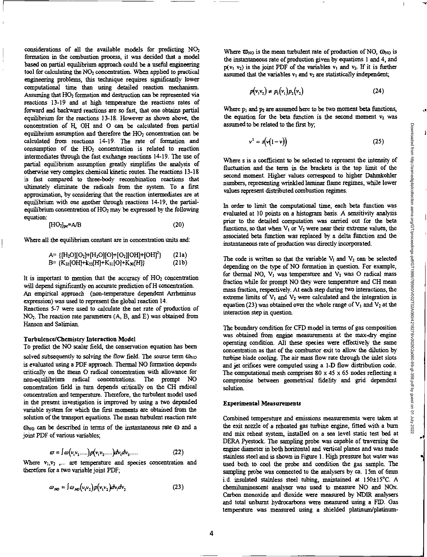considerations of all the available models for predicting NO2 formation in the combustion process, it was decided that a model based on partial equilibrium approach could be a useful engineering tool for calculating the NO<sub>2</sub> concentration. When applied to practical engineering problems, this technique requires significantly lower computational time than using detailed reaction mechanism. Assuming that HO<sub>2</sub> formation and destruction can be represented via reactions 13-19 and at high temperature the reactions rates of forward and backward reactions are so fast, that one obtains partial equilibrium for the reactions 13-18. However as shown above, the concentration of H, OH and 0 can be calculated from partial equilibrium assumption and therefore the  $HO<sub>2</sub>$  concentration can be calculated from reactions 14-19. The rate of formation and consumption of the  $HO<sub>2</sub>$  concentration is related to reaction intermediates through the fast exchange reactions 14-19. The use of partial equilibrium assumption greatly simplifies the analysis of otherwise very complex chemical kinetic routes. The reactions 13-18 is fast compared to three-body recombination reactions that ultimately eliminate the radicals from the system. To a first approximation, by considering that the reaction intermediates are at equilibrium with one another through reactions 14-19, the partialequilibrium concentration of  $HO<sub>2</sub>$  may be expressed by the following equation:

$$
[\mathrm{HO}_2]_{\mathrm{pc}} = \mathrm{A/B} \tag{20}
$$

Where all the equilibrium constant are in concentration units and:

$$
A = \{[H_2O][O_2] + [H_2O][O] + [O_2][OH] + [OH]^2\} \qquad (21a)
$$
  
\n
$$
B = \{K_{32}[OH] + K_{33}[H] + K_{31}[O] + K_{30}[H]\} \qquad (21b)
$$

It is important to mention that the accuracy of HO, concentration will depend significantly on accurate prediction of H concentration. An empirical approach (non-temperature dependent Arrheninus expression) was used to represent the global reaction 14.

Reactions 5-7 were *used to calculate the* net rate of production of NO2. The reaction rate parameters (A, B, and E) was obtained from Hanson and Salimian.

#### Turbulence/Chemistry Interaction Model

To predict the NO scalar field, the conservation equation has been

solved *subsequently* to solving the flow field. The source term  $\omega_{\text{NO}}$ is evaluated using a PDF approach. Thermal NO formation depends critically on the mean 0 radical concentration with allowance for non-equilibrium radical concentrations. The prompt NO concentration field in turn depends critically on the CH radical concentration and temperature. Therefore, the turbulent model used in the present investigation is improved by using a two depended variable system for which the first moments are obtained from the solution of the transport equations. The mean turbulent reaction rate

 $\omega_{NQ}$  can be described in terms of the instantaneous rate  $\omega$  and a joint PDF of various variables;

$$
\varpi = \int \omega \big( v_1 v_2 \dots \big) p \big( v_1 v_2 \dots \big) dv_1 dv_2 \dots \tag{22}
$$

Where  $v_1, v_2$  ,... are temperature and species concentration and therefore for a two variable joint PDF;

$$
\omega_{\kappa\sigma} = \int \omega_{\kappa\sigma} (v_1 v_2) p(v_1 v_2) dv_1 dv_2 \tag{23}
$$

Where  $\overline{\omega}_{NO}$  is the mean turbulent rate of production of NO,  $\omega_{NO}$  is the instantaneous rate of production given by equations 1 and 4, and  $p(v_1, v_2)$  is the joint PDF of the variables  $v_1$  and  $v_2$ . If it is further assumed that the variables  $v_1$  and  $v_2$  are statistically independent;

$$
p(v_1v_2) \neq p_1(v_1)p_2(v_2)
$$
 (24)

Where  $p_1$  and  $p_2$  are assumed here to be two moment beta functions, the equation for the beta function is the second moment  $v_2$  was assumed to be related to the first by,

$$
v^2 = s(v(1-v))
$$
 (25)

Where s is a coefficient to be selected to represent the intensity of fluctuation and the term in the brackets is the top limit of the second moment. Higher values correspond to higher Dahmkohler numbers, representing wrinkled laminar flame regimes, while lower values represent distributed combustion regimes.

In order to limit the computational time, each beta function *was evaluated at 10 points on a histogram* basis. A *sensitivity* analysis prior to the detailed computation was carried out for the beta functions, so that when  $V_1$  or  $V_2$  were near their extreme values, the associated beta function was replaced by a delta function and the instantaneous rate of production was directly incorporated.

The code is written so that the variable  $V_1$  and  $V_2$  can be selected depending on the type of NO formation in question. For example, for thermal NO,  $V_1$  was temperature and  $V_2$  was O radical mass fraction while for prompt NO they were temperature and CH mean mass fraction, respectively. At each step during two interactions, the extreme limits of  $V_1$  and  $V_2$  were calculated and the integration in equation (23) was obtained over the whole range of  $V_1$  and  $V_2$  at the interaction step in question.

The boundary condition for CFD model in terms of gas composition was obtained from engine measurements at the max-dry engine operating condition. All these species were effectively the same concentration as that of the combustor exit to allow the dilution by turbine blade cooling. The air mass flow rate through the inlet slots and jet orifices were computed using a 1-D flow distribution code. The computational mesh comprises  $80 \times 45 \times 65$  nodes reflecting a compromise between geometrical fidelity and grid dependent solution.

## **Experimental Measurements**

Combined temperature and emissions measurements were taken at the exit nozzle of a reheated gas turbine engine, fitted with a burn and mix reheat system, installed on a sea level static test bed at DERA Pyestock. The sampling probe was capable of traversing the engine diameter in both horizontal and vertical planes and was made stainless steel and is shown in Figure 1. High pressure hot water was used both to cool the probe and condition the gas sample. The sampling probe was connected to the analysers by ca. 15m of 6mm i.d. insulated stainless steel tubing, maintained at 150±15°C. A chemiluminescent analyser was used to measure NO and NOx. Carbon monoxide and dioxide were measured by NDIR analysers and total unbumt hydrocarbons were measured using a FID. Gas temperature was measured using a shielded platinum/platinumŌ.

 $\lambda$ 

√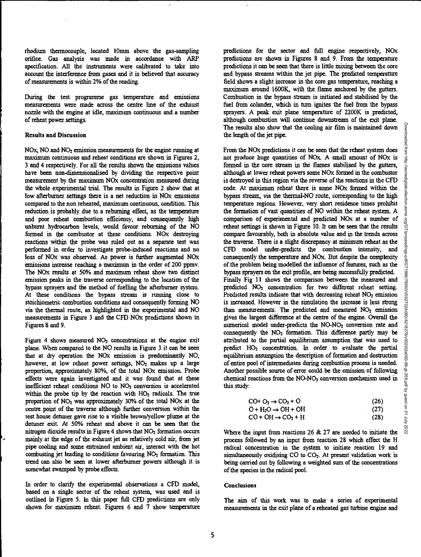rhodium thermocouple, located 10mm above the gas-sampling orifice. Gas analysis was made in accordance with ARP specification. All the instruments were calibrated to take into account the interference from gases and it is believed that accuracy of measurements is within 2% of the reading.

During the test programme gas temperature and emissions measurements were made across the centre line of the exhaust nozzle with the engine at idle, maximum continuous and a number of reheat power settings.

## Results and Discussion

NOx, NO and NO<sub>2</sub> emission measurements for the engine running at maximum continuous and reheat conditions are shown in Figures 2, 3 and 4 respectively. For all the results shown the emissions values have been non-dimensionalised by dividing the respective point measurement by the maximum NOx concentration measured during the whole experimental trial. The results in Figure 2 show that at low afterburner settings there is a net reduction in NOx emissions compared to the non reheated, maximum continuous, condition. This reduction is probably due to a rebuming effect, as the temperature and poor reheat combustion efficiency, and consequently high unburnt hydrocarbon levels, would favour rebuming of the NO formed in the combustor at these conditions. NOx destroying reactions within the probe was ruled out as a separate test was performed in order to investigate probe-induced reactions and no loss of NOx was observed. As power is further augmented NOx emissions increase reaching a maximum in the order of 200 ppmv. The NOx results at 50% and maximum reheat show two distinct emission peaks in the traverse corresponding to the location of the bypass sprayers and the method of fuelling the afterburner system. At these conditions the bypass stream is running close to stoichiometric combustion conditions and consequently forming NO via the thermal route, as highlighted in the experimental and NO measurements in Figure 3 and the CFD NOx predictions shown in Figures 8 and 9.

Figure 4 shows measured  $NO<sub>2</sub>$  concentrations at the engine exit plane. When compared to the NO results in Figure 3 it can be seen that at dry operation the NOx emission is predominantly NO, however, at low reheat power settings, NO<sub>2</sub> makes up a large proportion, approximately 80%, of the total NOx emission. Probe effects were again investigated and it was found that at these inefficient reheat conditions NO to NO2 conversion is accelerated within the probe tip by the reaction with HO<sub>2</sub> radicals. The true proportion of  $NO<sub>2</sub>$  was approximately 30% of the total  $NOx$  at the centre point of the traverse although further conversion within the test house dettmer gave rise to a visible brown/yellow plume at the detuner exit. At 50% reheat and above it can be seen that the nitrogen dioxide results in Figure 4 shows that  $NO<sub>2</sub>$  formation occurs mainly at the edge of the exhaust jet as relatively cold air, from jet pipe cooling and some entrained ambient air, interact with the hot combusting jet leading to conditions favouring NO<sub>2</sub> formation. This trend can also be seen at lower afterburner powers although it is somewhat swamped by probe effects.

In order to clarify the experimental observations a CFD model, based on a single sector of the reheat system, was used and is outlined in Figure 5. In this paper full CFD predictions are only shown for maximum reheat. Figures 6 and 7 show temperature

predictions for the sector and full engine respectively, NOx predictions are shown in Figures 8 and 9. From the temperature predictions it can be seen that there is little mixing between the core and bypass streams within the jet pipe. The predicted temperature field shows a slight increase in the core gas temperature, reaching a maximum around 1600K, with the flame anchored by the gutters. Combustion in the bypass stream is initiated and stabilised by the fuel from colander, which in turn ignites the fuel from the bypass sprayers. A peak exit plane temperature of 2200K is predicted, although combustion will continue downstream of the exit plane. The results also show that the cooling air film is maintained down the length of the jet pipe.

From the NOx predictions it can be seen that the reheat system does not produce huge quantities of NOx A small amount of NOx is formed in the core stream in the flames stabilised by the gutters, although at lower reheat powers some NOx formed in the combustor is destroyed in this region via the reverse of the reactions in the CFD code. At maximum reheat there is some NOx formed within the bypass stream, via the thermal -NO route, corresponding to the high temperature regions. However, very short residence times prohibit the formation of vast quantities of NO within the reheat system. A comparison of experimental and predicted NOx at a number of reheat settings is shown in Figure 10. It can be seen that the results compare favourably, both in absolute value and in the trends across the traverse. There is a slight discrepancy at minimum reheat as the CFD model under-predicts the combustion intensity, and consequently the temperature and NO<sub>x</sub>. But despite the complexity of the problem being modelled the influence of features, such as the bypass sprayers on the exit profile, are being successfully predicted. Finally Fig 11 shows the comparison between the measured and predicted NO<sub>2</sub> concentration for two different reheat setting. Predicted results indicate that with decreasing reheat NO<sub>2</sub> emission is increased. However in the simulation the increase is less strong than measurements. The predicted and measured  $NO<sub>2</sub>$  emission gives the largest difference at the centre of the engine. Overall the numerical model under-predicts the NO-NO<sub>2</sub> conversion rate and consequently the  $NO<sub>2</sub>$  formation. This difference partly may be attributed to the partial equilibrium assumption that was used to predict HO<sub>2</sub> concentration. In order to evaluate the partial equilibrium assumption the description of formation and destruction of entire pool of intermediates during combustion process is needed. Another possible source of error could be the omission of following chemical reactions from the NO-NO<sub>2</sub> conversion mechanism used in this study:

| $CO+O2 \rightarrow CO2 + O$    | (26) |
|--------------------------------|------|
| $O + H2O \rightarrow OH + OH$  | (27) |
| $CO + OH \rightarrow CO_2 + H$ | (28) |

Where the input from reactions 26 & 27 are needed to initiate the process followed by an input from reaction 28 which effect the H radical concentration in the system to initiate reaction 19 and simultaneously oxidising CO to CO<sub>2</sub>. At present validation work is being carried out by following a weighted sum of the concentrations of the species in the radical pool.

## Conclusions

The aim of this work was to make a series of experimental measurements in the exit plane of a reheated gas turbine engine and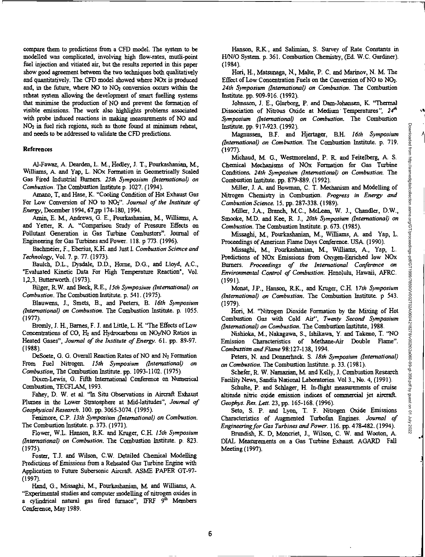.4

compare them to predictions from a CFD model. The system to be modelled was complicated, involving high flow-rates, mutli-point fuel injection and vitiated air, but the results reported in this paper show good agreement between the two techniques both qualitatively and quantitatively. The CFD model showed where NOx is produced and, in the future, where  $NO$  to  $NO<sub>2</sub>$  conversion occurs within the reheat system allowing the development of smart fuelling systems that minimise the production of NO and prevent the formation of visible emissions. The work also highlights problems associated with probe induced reactions in making measurements of NO and NO2 in fuel rich regions, such as those found at minimum reheat, and needs to be addressed to validate the CFD predictions.

## References

Al-Fawaz, A Dearden, L. M., Heclley, J. T., Pourkashanian, M., Williams, A and Yap, L. NOx Formation in Geometrically Scaled Gas Fired Industrial Burners, *25th Symposium (International) on Combustion.* The Combustion Institute p. 1027. (1994).

Amano, T, and Hose, K. "Cooling Condition of Hot Exhaust Gas For Low Conversion of NO to NO2". *Journal of the Institute of Energy,* December 1994, 67,pp 174-180, 1994.

Amin, E. M., Andrews, G. E., Pourkashanian, M., Williams, A. and Yetter, R. A. "Comparison Study of Pressure Effects on Pollutant Generation in Gas Turbine Combustors". Journal of Engineering for Gas Turbines and Power. 118.p 773. (1996).

Rothmeier, F., Eberius, K.H. and Just I. *Combustion Science and Technology,* Vol. 7. p. 77. (1973).

Baulch, D.L., Dysdale, D.D., Home, D.G., and Lloyd, AC., 'Evaluated Kinetic Data For High Temperature Reaction', Vol. 1,2,3, Butterworth. (1973).

Bllger, R.W. and Beck, R.E., *15th Symposium (international) on Combustion.* The Combustion Institute. p. 541. (1975).

Blauwens, J., Smets, B., and Peeters, B. *16th Symposium (International) on Combustion.* The Combustion Institute. p. 1055. (1977).

Bromly, J. FL, Barnes, F. J. and Little, L. H. "The Effects of Low Concentrations of CO,  $H_2$  and Hydrocarbons on NO<sub>2</sub>/NO Ratios in Heated *Gases", Journal of the Institute of Energy.* 61. pp. 89-97. (1988).

DeSoete, G. G. Overall Reaction Rates of NO and  $N_2$  Formation From Fuel Nitrogen. *15th Symposium (international) on Combustion,* The Combustion Institute. pp. 1093-1102. (1975).

Dixon-Lewis, G. Fifth International Conference on Numerical Combustion, TECFLAM, 1993.

Fahey, D. W. et al. "In Situ Observations in Aircraft Exhaust Plumes in the Lower Stratosphere at Mid-latitudes", *Journal of Geophysical Research.* 100. pp. 3065-3074. (1995).

Fenimore, C.P. *13th Symposium (International) on Combustion.*  The Combustion Institute. p.373. (1971).

Flower, W.L. Hanson, R.K. and Kruger, C.H. *15th Symposium (International) on Combustion.* The Combustion Institute. p. 823. (1975).

Foster, T.J. and Wilson, C.W. Detailed Chemical Modelling Predictions of *Emissions* from *a Reheated* Gas Turbine Engine with Application to Future Subersonic Aircraft. ASME PAPER GT-97- (1997).

Hand, G., Missaghi, M., Pourkashanian, M. and Williams, A. "Experimental studies and computer modelling of nitrogen oxides in a cylindrical natural gas fired furnace", IFRF  $9<sup>th</sup>$  Members Conference, May 1989.

Hanson, R.K., and Salimian, S. Survey of Rate Constants in H/N/0 System. p. 361. Combustion Chemistry, (Ed. W.C. Gardiner). (1984).

Hori, FL, Matstmaga, N., Melte, P. C. and Marinov, N. M. The Effect of Low Concentration Fuels on the Conversion of NO to NO2. *24th Symposium (International) on Combustion.* The Combustion Institute. pp. 909-916. (1992).

Jolmsson, J. E., Glarborg, P. and Dam-Johansen, K. "Thermal Dissociation of Nitrous Oxide at Medium Temperatures", 24<sup>th</sup> *Symposium (International) on Combustion.* The Combustion Institute. pp. 917-923. (1992).

Magninsen, B.F. and Hjertager, B.H. *16th Symposium (International) on Combustion.* The Combustion Institute. p. 719. (1977).

Michaud, M. G., Westmoreland, P. R. and Feitelberg, A. S. Chemical Mechanisms of NOx Formation for Gas Turbine Conditions. *24th Symposium (International) on Combustion.* The Combustion Institute. pp. 879-889. (1992).

Miller, J. A. and Bowman, C. T. Mechanism and Modelling of Nitrogen Chemistry in Combustion. *Progress in Energy and Combustion Science.* 15. pp. 287-338. (1989).

Miller, JA., Branch, MC., McLean, W. J., Chandler, D.W., Smooke, M.D. and Kee, R. *J., 20th Symposium (International) on Combustion.* The Combustion Institute. p. 673. (1985).

Missaghi, M., Pourkashanian, M., Williams, A. and Yap, L. Proceedings of American Flame Days Conference. USA. (1990).

Missaghi, M., Pourkashanian, M., Williams, A., Yap, L. Predictions of NOx Emissions from Oxygen-Enriched low NOx Burners. *Proceedings of the International Conference on Environmental Control of Combustion.* Honolulu, Hawaii, AFRC. (1991).

Monat, LP., Hanson, R.K., and Kruger, C.H. 17th *Symposium (International) on Combustion.* The Combustion Institute. p 543. (1979).

Non, M. "Nitrogen Dioxide Formation by the Mixing of Hot Combustion Gas with Cold Air", *Twenty Second Symposium (International) on Combustion.* The Combustion Institute, 1988.

Nishioka, M., Nakagawa, S., Ishikawa, Y. and Takeno, T. "NO Emission Characteristics of Methane-Air Double Flame". *Combustion and Flame* 98:127-138, 1994.

Peters, N. and Donnexhack. S. *18th Symposium (International) on Combustion.* The Combustion Institute. p.33. (1981).

Schefer, R. W. Namazian, M. and Kelly, J. Combustion Research Facility News, Sandia National Laboratories. Vol 3., No. 4, (1991).

Schulte, P. and Schlager, H. In-flight measurements of cruise altitude nitric oxide emission indices of commercial jet aircraft *Geophys. Res. Len.* 23, pp. 165-168. (1996).

Seto, S. P. and Lyon, T. F. Nitrogen Oxide Emissions Characteristics of Augmented Turbofan Engines. *Journal of Engineering for Gas Turbines and Power.* 116. pp. 478-482. (1994).

Brimdish, K. D, Moncriet, J., Wilson, C. W. and Wooton, A. DIAL Measurements on a Gas Turbine Exhaust. AGARD Fall Meeting (1997).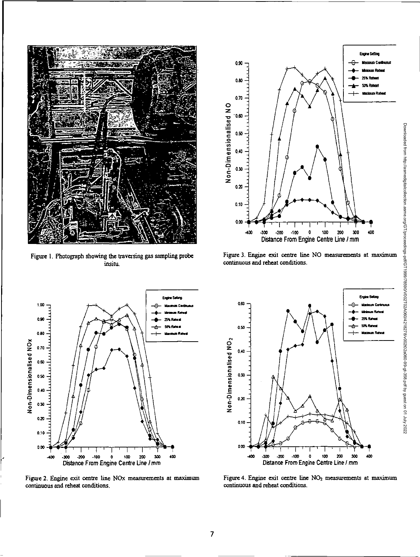

Figure 1. Photograph showing the traversing gas sampling probe insitu.



Figure 3. Engine exit centre line NO measurements at maximum continuous and reheat conditions.



Figure 2. Engine exit centre line NOx measurements at maximum continuous and reheat conditions.



Figure 4. Engine exit centre line NO<sub>2</sub> measurements at maximum continuous and reheat conditions.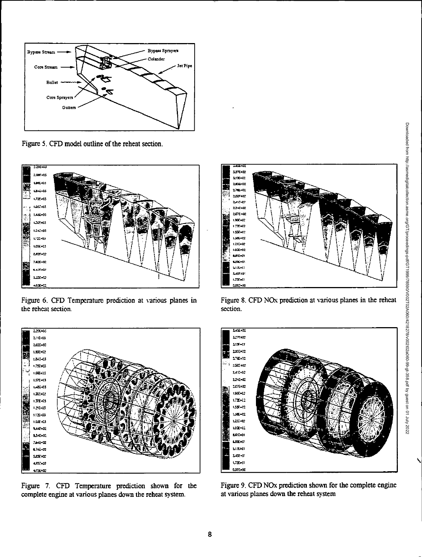

Figure 5. CFD model outline of the reheat section.



Figure 6. CFD Temperature prediction at various planes in the reheat section.



Figure 7. CFD Temperature prediction shown for the complete engine at various planes down the reheat system.



Figure 8. CFD NO<sub>x</sub> prediction at various planes in the reheat section.



Figure 9. CFD NOx prediction shown for the complete engine at various planes down the reheat system